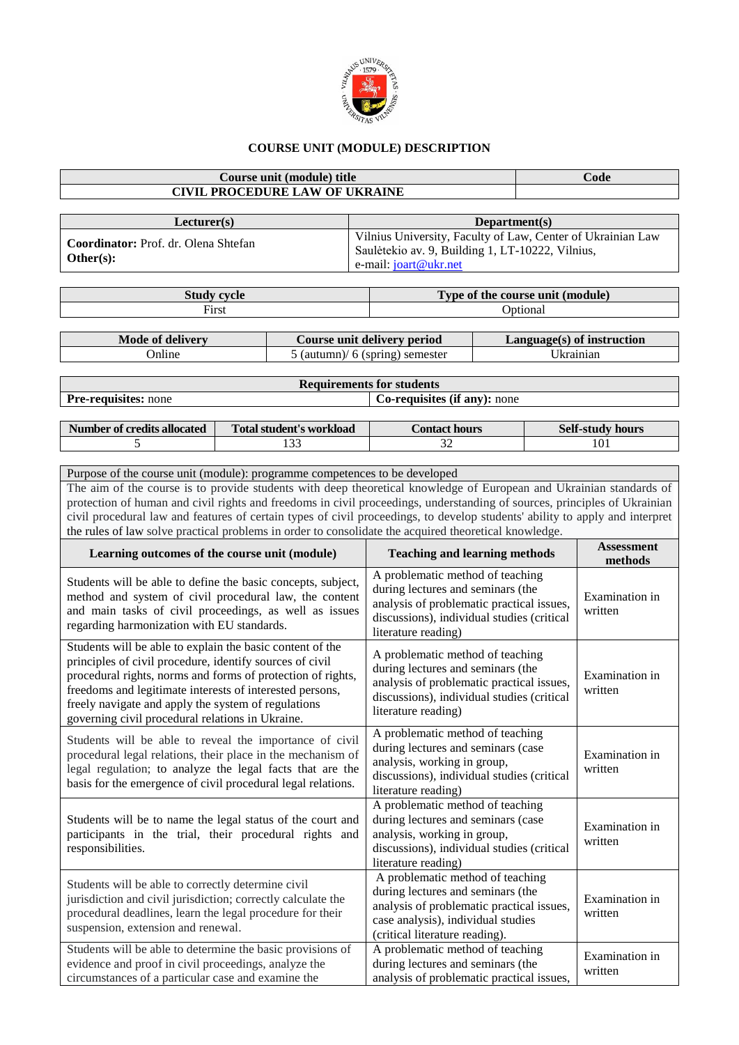

## **COURSE UNIT (MODULE) DESCRIPTION**

## **Course unit (module) title Code CIVIL PROCEDURE LAW OF UKRAINE Lecturer(s) Department(s) Coordinator:** Prof. dr. Olena Shtefan **Other(s):** Vilnius University, Faculty of Law, Center of Ukrainian Law Saulėtekio av. 9, Building 1, LT-10222, Vilnius, e-mail: [joart@ukr.net](mailto:joart@ukr.net) **Study cycle Type of the course unit (module)** First **Optional Mode of delivery Course unit delivery period Language(s) of instruction** Online 5 (autumn)/ 6 (spring) semester Ukrainian **Requirements for students Pre-requisites:** none **Co-requisites** (if any): none **Number of credits allocated Total student's workload Contact hours** Self-study hours 5 133 133 32 101 Purpose of the course unit (module): programme competences to be developed The aim of the course is to provide students with deep theoretical knowledge of European and Ukrainian standards of protection of human and civil rights and freedoms in civil proceedings, understanding of sources, principles of Ukrainian civil procedural law and features of certain types of civil proceedings, to develop students' ability to apply and interpret the rules of law solve practical problems in order to consolidate the acquired theoretical knowledge. **Learning outcomes of the course unit (module) Teaching and learning methods Assessment methods** Students will be able to define the basic concepts, subject, method and system of civil procedural law, the content and main tasks of civil proceedings, as well as issues regarding harmonization with EU standards. A problematic method of teaching during lectures and seminars (the analysis of problematic practical issues, discussions), individual studies (critical literature reading) Examination in written Students will be able to explain the basic content of the principles of civil procedure, identify sources of civil procedural rights, norms and forms of protection of rights, freedoms and legitimate interests of interested persons, freely navigate and apply the system of regulations governing civil procedural relations in Ukraine. A problematic method of teaching during lectures and seminars (the analysis of problematic practical issues, discussions), individual studies (critical literature reading) Examination in written Students will be able to reveal the importance of civil procedural legal relations, their place in the mechanism of legal regulation; to analyze the legal facts that are the basis for the emergence of civil procedural legal relations. A problematic method of teaching during lectures and seminars (case analysis, working in group, discussions), individual studies (critical literature reading) Examination in written Students will be to name the legal status of the court and participants in the trial, their procedural rights and responsibilities. A problematic method of teaching during lectures and seminars (case analysis, working in group, discussions), individual studies (critical literature reading) Examination in written Students will be able to correctly determine civil jurisdiction and civil jurisdiction; correctly calculate the procedural deadlines, learn the legal procedure for their suspension, extension and renewal. A problematic method of teaching during lectures and seminars (the analysis of problematic practical issues, case analysis), individual studies (critical literature reading). Examination in written Students will be able to determine the basic provisions of evidence and proof in civil proceedings, analyze the circumstances of a particular case and examine the A problematic method of teaching during lectures and seminars (the analysis of problematic practical issues, Examination in written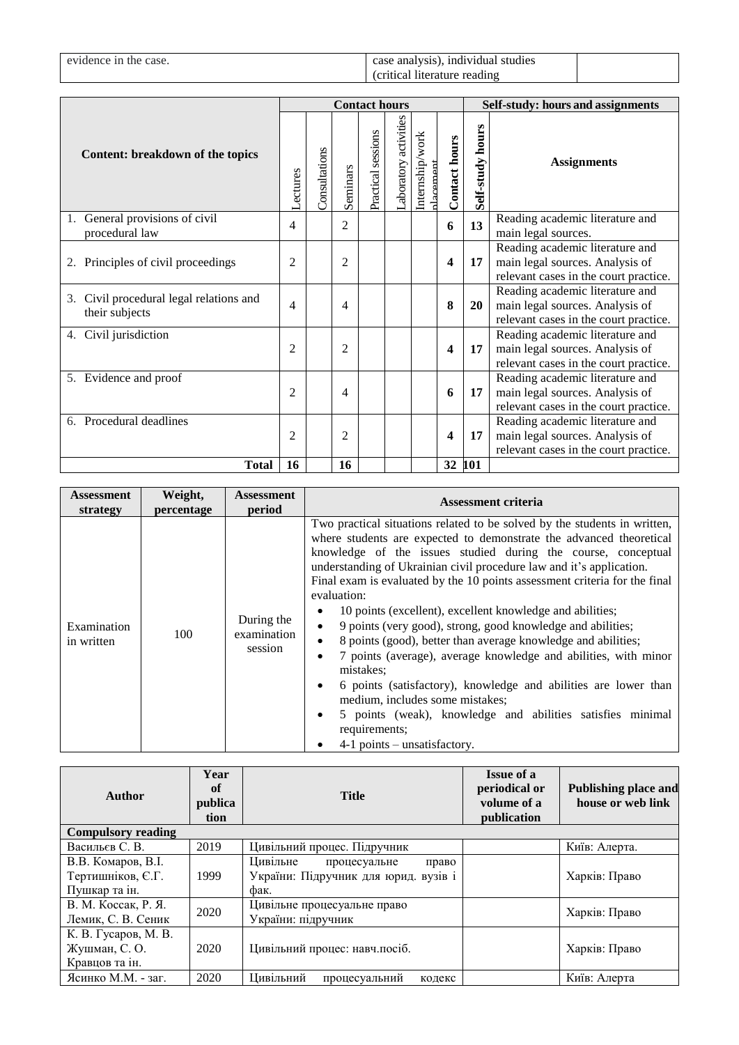| evidence in the case. | case analysis), individual studies |  |
|-----------------------|------------------------------------|--|
|                       | (critical literature reading)      |  |

|                                                              | <b>Contact hours</b> |                      |                |                    | Self-study: hours and assignments |                             |                      |                     |                                                                                                             |
|--------------------------------------------------------------|----------------------|----------------------|----------------|--------------------|-----------------------------------|-----------------------------|----------------------|---------------------|-------------------------------------------------------------------------------------------------------------|
| Content: breakdown of the topics                             | <b>Actures</b>       | <b>Consultations</b> | Seminars       | Practical sessions | aboratory activities              | Internship/work<br>dacement | <b>Contact hours</b> | hours<br>Self-study | <b>Assignments</b>                                                                                          |
| 1. General provisions of civil<br>procedural law             | 4                    |                      | $\overline{2}$ |                    |                                   |                             | 6                    | 13                  | Reading academic literature and<br>main legal sources.                                                      |
| 2. Principles of civil proceedings                           | $\overline{2}$       |                      | $\overline{2}$ |                    |                                   |                             | 4                    | 17                  | Reading academic literature and<br>main legal sources. Analysis of<br>relevant cases in the court practice. |
| Civil procedural legal relations and<br>3.<br>their subjects | 4                    |                      | 4              |                    |                                   |                             | 8                    | <b>20</b>           | Reading academic literature and<br>main legal sources. Analysis of<br>relevant cases in the court practice. |
| Civil jurisdiction<br>4.                                     | $\overline{c}$       |                      | $\overline{c}$ |                    |                                   |                             | 4                    | 17                  | Reading academic literature and<br>main legal sources. Analysis of<br>relevant cases in the court practice. |
| 5. Evidence and proof                                        | 2                    |                      | 4              |                    |                                   |                             | 6                    | 17                  | Reading academic literature and<br>main legal sources. Analysis of<br>relevant cases in the court practice. |
| Procedural deadlines<br>6.                                   | $\overline{2}$       |                      | $\overline{2}$ |                    |                                   |                             | 4                    | 17                  | Reading academic literature and<br>main legal sources. Analysis of<br>relevant cases in the court practice. |
| <b>Total</b>                                                 | 16                   |                      | 16             |                    |                                   |                             | 32                   | 101                 |                                                                                                             |

| <b>Assessment</b>         | Weight,    | <b>Assessment</b>                    | Assessment criteria                                                                                                                                                                                                                                                                                                                                                                                                                                                                                                                                                                                                                                                                                                                                                                                                                                                                                                                                         |  |  |
|---------------------------|------------|--------------------------------------|-------------------------------------------------------------------------------------------------------------------------------------------------------------------------------------------------------------------------------------------------------------------------------------------------------------------------------------------------------------------------------------------------------------------------------------------------------------------------------------------------------------------------------------------------------------------------------------------------------------------------------------------------------------------------------------------------------------------------------------------------------------------------------------------------------------------------------------------------------------------------------------------------------------------------------------------------------------|--|--|
| strategy                  | percentage | period                               |                                                                                                                                                                                                                                                                                                                                                                                                                                                                                                                                                                                                                                                                                                                                                                                                                                                                                                                                                             |  |  |
| Examination<br>in written | 100        | During the<br>examination<br>session | Two practical situations related to be solved by the students in written,<br>where students are expected to demonstrate the advanced theoretical<br>knowledge of the issues studied during the course, conceptual<br>understanding of Ukrainian civil procedure law and it's application.<br>Final exam is evaluated by the 10 points assessment criteria for the final<br>evaluation:<br>10 points (excellent), excellent knowledge and abilities;<br>9 points (very good), strong, good knowledge and abilities;<br>$\bullet$<br>8 points (good), better than average knowledge and abilities;<br>$\bullet$<br>7 points (average), average knowledge and abilities, with minor<br>$\bullet$<br>mistakes;<br>6 points (satisfactory), knowledge and abilities are lower than<br>$\bullet$<br>medium, includes some mistakes;<br>5 points (weak), knowledge and abilities satisfies minimal<br>$\bullet$<br>requirements;<br>$4-1$ points – unsatisfactory. |  |  |

| Author                                                   | Year<br>of<br>publica<br>tion | <b>Title</b>                                                                   | <b>Issue of a</b><br>periodical or<br>volume of a<br>publication | <b>Publishing place and</b><br>house or web link |
|----------------------------------------------------------|-------------------------------|--------------------------------------------------------------------------------|------------------------------------------------------------------|--------------------------------------------------|
| <b>Compulsory reading</b>                                |                               |                                                                                |                                                                  |                                                  |
| Васильєв С. В.                                           | 2019                          | Цивільний процес. Підручник                                                    |                                                                  | Київ: Алерта.                                    |
| В.В. Комаров, В.І.<br>Тертишніков, Є.Г.<br>Пушкар та ін. | 1999                          | Цивільне процесуальне<br>право<br>України: Підручник для юрид. вузів і<br>фак. |                                                                  | Харків: Право                                    |
| В. М. Коссак, Р. Я.<br>Лемик, С. В. Сеник                | 2020                          | Цивільне процесуальне право<br>України: підручник                              |                                                                  | Харків: Право                                    |
| К. В. Гусаров, М. В.<br>Жушман, С. О.<br>Кравцов та ін.  | 2020                          | Цивільний процес: навч.посіб.                                                  |                                                                  | Харків: Право                                    |
| Ясинко М.М. - заг.                                       | 2020                          | Цивільний<br>процесуальний<br>кодекс                                           |                                                                  | Київ: Алерта                                     |